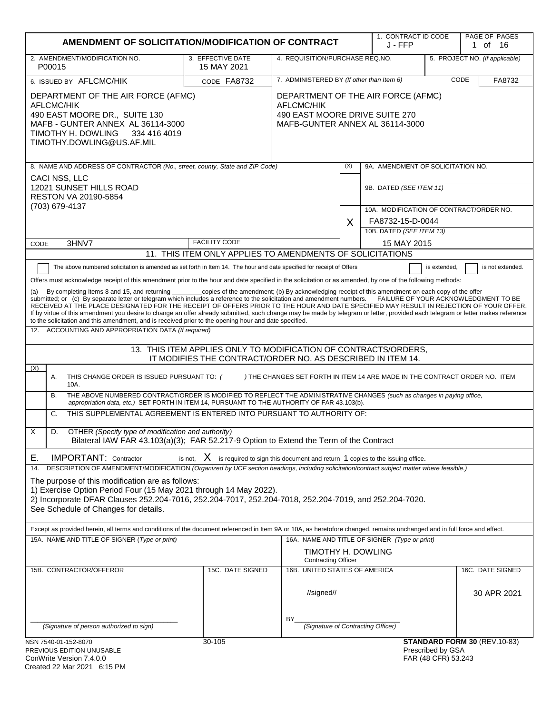|                                                                                                                                                                                                                                                                                                                                                                                                                                                                                                                                                                                                                                                                                                                                                                                                                                                                                                                                                                                                                                                                                                                                                                                                                                                                                                                                                                                                                                                                                                                                                                                                                                                                                                                                                                                                                            | AMENDMENT OF SOLICITATION/MODIFICATION OF CONTRACT                                         |                                                                                                                       |     |                                              | 1. CONTRACT ID CODE                      | PAGE OF PAGES<br>1 of 16        |
|----------------------------------------------------------------------------------------------------------------------------------------------------------------------------------------------------------------------------------------------------------------------------------------------------------------------------------------------------------------------------------------------------------------------------------------------------------------------------------------------------------------------------------------------------------------------------------------------------------------------------------------------------------------------------------------------------------------------------------------------------------------------------------------------------------------------------------------------------------------------------------------------------------------------------------------------------------------------------------------------------------------------------------------------------------------------------------------------------------------------------------------------------------------------------------------------------------------------------------------------------------------------------------------------------------------------------------------------------------------------------------------------------------------------------------------------------------------------------------------------------------------------------------------------------------------------------------------------------------------------------------------------------------------------------------------------------------------------------------------------------------------------------------------------------------------------------|--------------------------------------------------------------------------------------------|-----------------------------------------------------------------------------------------------------------------------|-----|----------------------------------------------|------------------------------------------|---------------------------------|
| 2. AMENDMENT/MODIFICATION NO.<br>P00015                                                                                                                                                                                                                                                                                                                                                                                                                                                                                                                                                                                                                                                                                                                                                                                                                                                                                                                                                                                                                                                                                                                                                                                                                                                                                                                                                                                                                                                                                                                                                                                                                                                                                                                                                                                    | 3. EFFECTIVE DATE<br>15 MAY 2021                                                           | 4. REQUISITION/PURCHASE REQ.NO.                                                                                       |     |                                              |                                          | 5. PROJECT NO. (If applicable)  |
| 6. ISSUED BY AFLCMC/HIK                                                                                                                                                                                                                                                                                                                                                                                                                                                                                                                                                                                                                                                                                                                                                                                                                                                                                                                                                                                                                                                                                                                                                                                                                                                                                                                                                                                                                                                                                                                                                                                                                                                                                                                                                                                                    | 7. ADMINISTERED BY (If other than Item 6)<br>CODE<br>CODE FA8732                           |                                                                                                                       |     | FA8732                                       |                                          |                                 |
| DEPARTMENT OF THE AIR FORCE (AFMC)<br>AFLCMC/HIK<br>490 EAST MOORE DR., SUITE 130<br>MAFB - GUNTER ANNEX AL 36114-3000<br>TIMOTHY H. DOWLING<br>334 416 4019<br>TIMOTHY.DOWLING@US.AF.MIL                                                                                                                                                                                                                                                                                                                                                                                                                                                                                                                                                                                                                                                                                                                                                                                                                                                                                                                                                                                                                                                                                                                                                                                                                                                                                                                                                                                                                                                                                                                                                                                                                                  |                                                                                            | DEPARTMENT OF THE AIR FORCE (AFMC)<br>AFLCMC/HIK<br>490 EAST MOORE DRIVE SUITE 270<br>MAFB-GUNTER ANNEX AL 36114-3000 |     |                                              |                                          |                                 |
| 8. NAME AND ADDRESS OF CONTRACTOR (No., street, county, State and ZIP Code)                                                                                                                                                                                                                                                                                                                                                                                                                                                                                                                                                                                                                                                                                                                                                                                                                                                                                                                                                                                                                                                                                                                                                                                                                                                                                                                                                                                                                                                                                                                                                                                                                                                                                                                                                |                                                                                            |                                                                                                                       | (X) | 9A. AMENDMENT OF SOLICITATION NO.            |                                          |                                 |
| CACI NSS, LLC<br>12021 SUNSET HILLS ROAD<br>RESTON VA 20190-5854<br>(703) 679-4137                                                                                                                                                                                                                                                                                                                                                                                                                                                                                                                                                                                                                                                                                                                                                                                                                                                                                                                                                                                                                                                                                                                                                                                                                                                                                                                                                                                                                                                                                                                                                                                                                                                                                                                                         |                                                                                            |                                                                                                                       |     | 9B. DATED (SEE ITEM 11)                      |                                          |                                 |
|                                                                                                                                                                                                                                                                                                                                                                                                                                                                                                                                                                                                                                                                                                                                                                                                                                                                                                                                                                                                                                                                                                                                                                                                                                                                                                                                                                                                                                                                                                                                                                                                                                                                                                                                                                                                                            |                                                                                            |                                                                                                                       |     | 10A. MODIFICATION OF CONTRACT/ORDER NO.      |                                          |                                 |
|                                                                                                                                                                                                                                                                                                                                                                                                                                                                                                                                                                                                                                                                                                                                                                                                                                                                                                                                                                                                                                                                                                                                                                                                                                                                                                                                                                                                                                                                                                                                                                                                                                                                                                                                                                                                                            |                                                                                            |                                                                                                                       | X   | FA8732-15-D-0044<br>10B. DATED (SEE ITEM 13) |                                          |                                 |
| 3HNV7<br>CODE                                                                                                                                                                                                                                                                                                                                                                                                                                                                                                                                                                                                                                                                                                                                                                                                                                                                                                                                                                                                                                                                                                                                                                                                                                                                                                                                                                                                                                                                                                                                                                                                                                                                                                                                                                                                              | <b>FACILITY CODE</b>                                                                       |                                                                                                                       |     | 15 MAY 2015                                  |                                          |                                 |
|                                                                                                                                                                                                                                                                                                                                                                                                                                                                                                                                                                                                                                                                                                                                                                                                                                                                                                                                                                                                                                                                                                                                                                                                                                                                                                                                                                                                                                                                                                                                                                                                                                                                                                                                                                                                                            | 11. THIS ITEM ONLY APPLIES TO AMENDMENTS OF SOLICITATIONS                                  |                                                                                                                       |     |                                              |                                          |                                 |
| The above numbered solicitation is amended as set forth in Item 14. The hour and date specified for receipt of Offers<br>is extended,<br>is not extended.<br>Offers must acknowledge receipt of this amendment prior to the hour and date specified in the solicitation or as amended, by one of the following methods:<br>_copies of the amendment; (b) By acknowledging receipt of this amendment on each copy of the offer<br>By completing Items 8 and 15, and returning<br>submitted; or (c) By separate letter or telegram which includes a reference to the solicitation and amendment numbers. FAILURE OF YOUR ACKNOWLEDGMENT TO BE<br>RECEIVED AT THE PLACE DESIGNATED FOR THE RECEIPT OF OFFERS PRIOR TO THE HOUR AND DATE SPECIFIED MAY RESULT IN REJECTION OF YOUR OFFER.<br>If by virtue of this amendment you desire to change an offer already submitted, such change may be made by telegram or letter, provided each telegram or letter makes reference<br>to the solicitation and this amendment, and is received prior to the opening hour and date specified.<br>12. ACCOUNTING AND APPROPRIATION DATA (If required)<br>13. THIS ITEM APPLIES ONLY TO MODIFICATION OF CONTRACTS/ORDERS,<br>IT MODIFIES THE CONTRACT/ORDER NO. AS DESCRIBED IN ITEM 14.<br>(X)<br>Α.<br>THIS CHANGE ORDER IS ISSUED PURSUANT TO: (<br>) THE CHANGES SET FORTH IN ITEM 14 ARE MADE IN THE CONTRACT ORDER NO. ITEM<br>10A.<br>THE ABOVE NUMBERED CONTRACT/ORDER IS MODIFIED TO REFLECT THE ADMINISTRATIVE CHANGES (such as changes in paying office,<br><b>B.</b><br>appropriation data, etc.) SET FORTH IN ITEM 14, PURSUANT TO THE AUTHORITY OF FAR 43.103(b).<br>THIS SUPPLEMENTAL AGREEMENT IS ENTERED INTO PURSUANT TO AUTHORITY OF:<br>$C_{\cdot}$<br>X<br>D.<br>OTHER (Specify type of modification and authority) |                                                                                            |                                                                                                                       |     |                                              |                                          |                                 |
| Bilateral IAW FAR 43.103(a)(3); FAR 52.217-9 Option to Extend the Term of the Contract<br>Е.<br><b>IMPORTANT:</b> Contractor                                                                                                                                                                                                                                                                                                                                                                                                                                                                                                                                                                                                                                                                                                                                                                                                                                                                                                                                                                                                                                                                                                                                                                                                                                                                                                                                                                                                                                                                                                                                                                                                                                                                                               | is not, $X$ is required to sign this document and return $1$ copies to the issuing office. |                                                                                                                       |     |                                              |                                          |                                 |
| DESCRIPTION OF AMENDMENT/MODIFICATION (Organized by UCF section headings, including solicitation/contract subject matter where feasible.)<br>14.<br>The purpose of this modification are as follows:<br>1) Exercise Option Period Four (15 May 2021 through 14 May 2022).<br>2) Incorporate DFAR Clauses 252.204-7016, 252.204-7017, 252.204-7018, 252.204-7019, and 252.204-7020.<br>See Schedule of Changes for details.<br>Except as provided herein, all terms and conditions of the document referenced in Item 9A or 10A, as heretofore changed, remains unchanged and in full force and effect.<br>15A. NAME AND TITLE OF SIGNER (Type or print)<br>16A. NAME AND TITLE OF SIGNER (Type or print)                                                                                                                                                                                                                                                                                                                                                                                                                                                                                                                                                                                                                                                                                                                                                                                                                                                                                                                                                                                                                                                                                                                   |                                                                                            |                                                                                                                       |     |                                              |                                          |                                 |
|                                                                                                                                                                                                                                                                                                                                                                                                                                                                                                                                                                                                                                                                                                                                                                                                                                                                                                                                                                                                                                                                                                                                                                                                                                                                                                                                                                                                                                                                                                                                                                                                                                                                                                                                                                                                                            |                                                                                            | TIMOTHY H. DOWLING<br><b>Contracting Officer</b>                                                                      |     |                                              |                                          |                                 |
| 15B. CONTRACTOR/OFFEROR                                                                                                                                                                                                                                                                                                                                                                                                                                                                                                                                                                                                                                                                                                                                                                                                                                                                                                                                                                                                                                                                                                                                                                                                                                                                                                                                                                                                                                                                                                                                                                                                                                                                                                                                                                                                    | 15C. DATE SIGNED                                                                           | 16B. UNITED STATES OF AMERICA<br>//signed//                                                                           |     |                                              |                                          | 16C. DATE SIGNED<br>30 APR 2021 |
| (Signature of person authorized to sign)                                                                                                                                                                                                                                                                                                                                                                                                                                                                                                                                                                                                                                                                                                                                                                                                                                                                                                                                                                                                                                                                                                                                                                                                                                                                                                                                                                                                                                                                                                                                                                                                                                                                                                                                                                                   |                                                                                            | BY<br>(Signature of Contracting Officer)                                                                              |     |                                              |                                          |                                 |
| NSN 7540-01-152-8070<br>PREVIOUS EDITION UNUSABLE<br>ConWrite Version 7 4 0 0                                                                                                                                                                                                                                                                                                                                                                                                                                                                                                                                                                                                                                                                                                                                                                                                                                                                                                                                                                                                                                                                                                                                                                                                                                                                                                                                                                                                                                                                                                                                                                                                                                                                                                                                              | 30-105                                                                                     |                                                                                                                       |     |                                              | Prescribed by GSA<br>FAR (48 CFR) 53 243 | STANDARD FORM 30 (REV.10-83)    |

| ConWrite Version 7.4.0.0    |  |  |  |  |
|-----------------------------|--|--|--|--|
| Created 22 Mar 2021 6:15 PM |  |  |  |  |

FAR (48 CFR) 53.243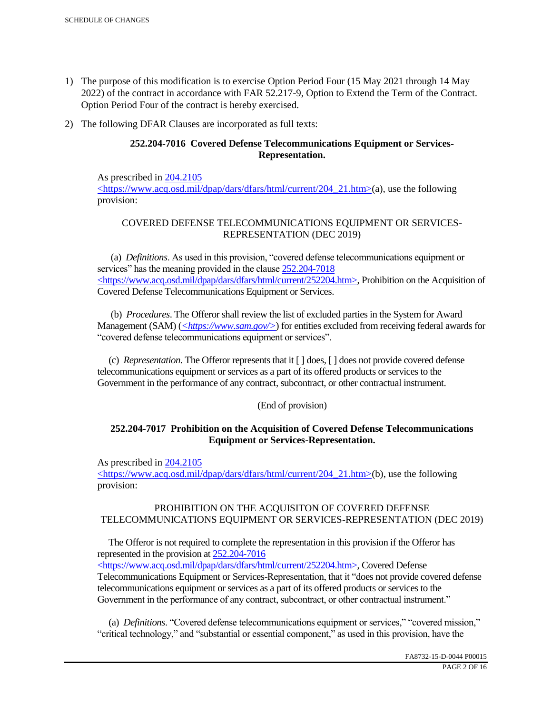- 1) The purpose of this modification is to exercise Option Period Four (15 May 2021 through 14 May 2022) of the contract in accordance with FAR 52.217-9, Option to Extend the Term of the Contract. Option Period Four of the contract is hereby exercised.
- 2) The following DFAR Clauses are incorporated as full texts:

# **252.204-7016 Covered Defense Telecommunications Equipment or Services-Representation.**

As prescribed in 204.2105 <https://www.acq.osd.mil/dpap/dars/dfars/html/current/204\_21.htm>(a), use the following provision:

# COVERED DEFENSE TELECOMMUNICATIONS EQUIPMENT OR SERVICES-REPRESENTATION (DEC 2019)

 (a) *Definitions*. As used in this provision, "covered defense telecommunications equipment or services" has the meaning provided in the clause  $252.204 - 7018$ <https://www.acq.osd.mil/dpap/dars/dfars/html/current/252204.htm>, Prohibition on the Acquisition of Covered Defense Telecommunications Equipment or Services.

 (b) *Procedures*. The Offeror shall review the list of excluded parties in the System for Award Management (SAM) (*<https://www.sam.gov/>*) for entities excluded from receiving federal awards for "covered defense telecommunications equipment or services".

 (c) *Representation*. The Offeror represents that it [ ] does, [ ] does not provide covered defense telecommunications equipment or services as a part of its offered products or services to the Government in the performance of any contract, subcontract, or other contractual instrument.

## (End of provision)

## **252.204-7017 Prohibition on the Acquisition of Covered Defense Telecommunications Equipment or Services-Representation.**

As prescribed in 204.2105

<https://www.acq.osd.mil/dpap/dars/dfars/html/current/204\_21.htm>(b), use the following provision:

## PROHIBITION ON THE ACQUISITON OF COVERED DEFENSE TELECOMMUNICATIONS EQUIPMENT OR SERVICES-REPRESENTATION (DEC 2019)

 The Offeror is not required to complete the representation in this provision if the Offeror has represented in the provision at 252.204-7016

<https://www.acq.osd.mil/dpap/dars/dfars/html/current/252204.htm>, Covered Defense Telecommunications Equipment or Services-Representation, that it "does not provide covered defense telecommunications equipment or services as a part of its offered products or services to the Government in the performance of any contract, subcontract, or other contractual instrument."

 (a) *Definitions*. "Covered defense telecommunications equipment or services," "covered mission," "critical technology," and "substantial or essential component," as used in this provision, have the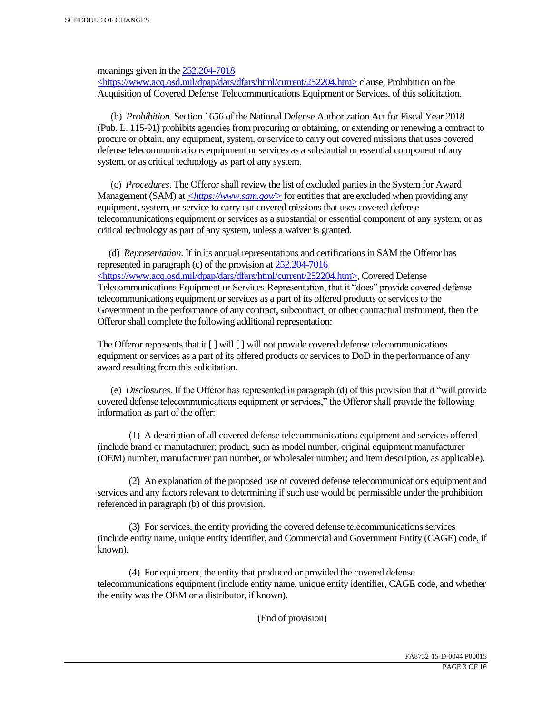meanings given in the 252.204-7018

 $\langle$ https://www.acq.osd.mil/dpap/dars/dfars/html/current/252204.htm> clause, Prohibition on the Acquisition of Covered Defense Telecommunications Equipment or Services, of this solicitation.

 (b) *Prohibition*. Section 1656 of the National Defense Authorization Act for Fiscal Year 2018 (Pub. L. 115-91) prohibits agencies from procuring or obtaining, or extending or renewing a contract to procure or obtain, any equipment, system, or service to carry out covered missions that uses covered defense telecommunications equipment or services as a substantial or essential component of any system, or as critical technology as part of any system.

 (c) *Procedures*. The Offeror shall review the list of excluded parties in the System for Award Management (SAM) at  $\leq$ https://www.sam.gov/> for entities that are excluded when providing any equipment, system, or service to carry out covered missions that uses covered defense telecommunications equipment or services as a substantial or essential component of any system, or as critical technology as part of any system, unless a waiver is granted.

 (d) *Representation*. If in its annual representations and certifications in SAM the Offeror has represented in paragraph (c) of the provision at 252.204-7016 <https://www.acq.osd.mil/dpap/dars/dfars/html/current/252204.htm>, Covered Defense Telecommunications Equipment or Services-Representation, that it "does" provide covered defense telecommunications equipment or services as a part of its offered products or services to the Government in the performance of any contract, subcontract, or other contractual instrument, then the Offeror shall complete the following additional representation:

The Offeror represents that it  $\lceil \cdot \rceil$  will  $\lceil \cdot \rceil$  will not provide covered defense telecommunications equipment or services as a part of its offered products or services to DoD in the performance of any award resulting from this solicitation.

 (e) *Disclosures*. If the Offeror has represented in paragraph (d) of this provision that it "will provide covered defense telecommunications equipment or services," the Offeror shall provide the following information as part of the offer:

 (1) A description of all covered defense telecommunications equipment and services offered (include brand or manufacturer; product, such as model number, original equipment manufacturer (OEM) number, manufacturer part number, or wholesaler number; and item description, as applicable).

 (2) An explanation of the proposed use of covered defense telecommunications equipment and services and any factors relevant to determining if such use would be permissible under the prohibition referenced in paragraph (b) of this provision.

 (3) For services, the entity providing the covered defense telecommunications services (include entity name, unique entity identifier, and Commercial and Government Entity (CAGE) code, if known).

 (4) For equipment, the entity that produced or provided the covered defense telecommunications equipment (include entity name, unique entity identifier, CAGE code, and whether the entity was the OEM or a distributor, if known).

(End of provision)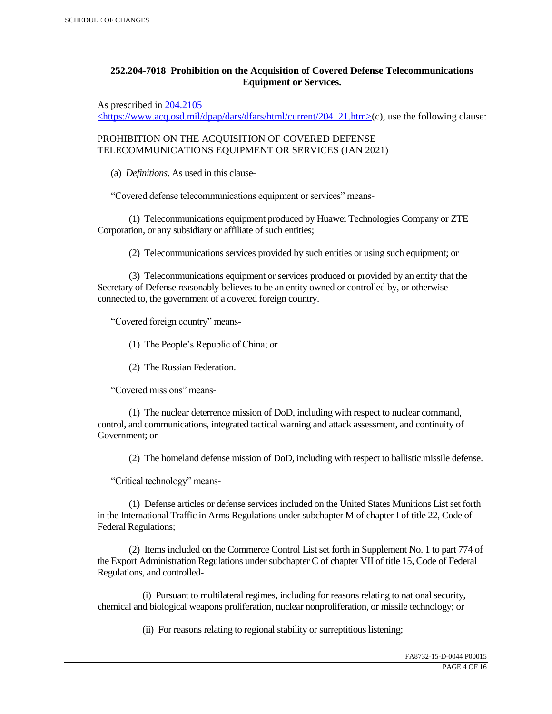# **252.204-7018 Prohibition on the Acquisition of Covered Defense Telecommunications Equipment or Services.**

As prescribed in 204.2105

 $\langle$ https://www.acq.osd.mil/dpap/dars/dfars/html/current/204\_21.htm>(c), use the following clause:

PROHIBITION ON THE ACQUISITION OF COVERED DEFENSE TELECOMMUNICATIONS EQUIPMENT OR SERVICES (JAN 2021)

(a) *Definitions*. As used in this clause-

"Covered defense telecommunications equipment or services" means-

 (1) Telecommunications equipment produced by Huawei Technologies Company or ZTE Corporation, or any subsidiary or affiliate of such entities;

(2) Telecommunications services provided by such entities or using such equipment; or

 (3) Telecommunications equipment or services produced or provided by an entity that the Secretary of Defense reasonably believes to be an entity owned or controlled by, or otherwise connected to, the government of a covered foreign country.

"Covered foreign country" means-

(1) The People's Republic of China; or

(2) The Russian Federation.

"Covered missions" means-

 (1) The nuclear deterrence mission of DoD, including with respect to nuclear command, control, and communications, integrated tactical warning and attack assessment, and continuity of Government; or

(2) The homeland defense mission of DoD, including with respect to ballistic missile defense.

"Critical technology" means-

 (1) Defense articles or defense services included on the United States Munitions List set forth in the International Traffic in Arms Regulations under subchapter M of chapter I of title 22, Code of Federal Regulations;

 (2) Items included on the Commerce Control List set forth in Supplement No. 1 to part 774 of the Export Administration Regulations under subchapter C of chapter VII of title 15, Code of Federal Regulations, and controlled-

 (i) Pursuant to multilateral regimes, including for reasons relating to national security, chemical and biological weapons proliferation, nuclear nonproliferation, or missile technology; or

(ii) For reasons relating to regional stability or surreptitious listening;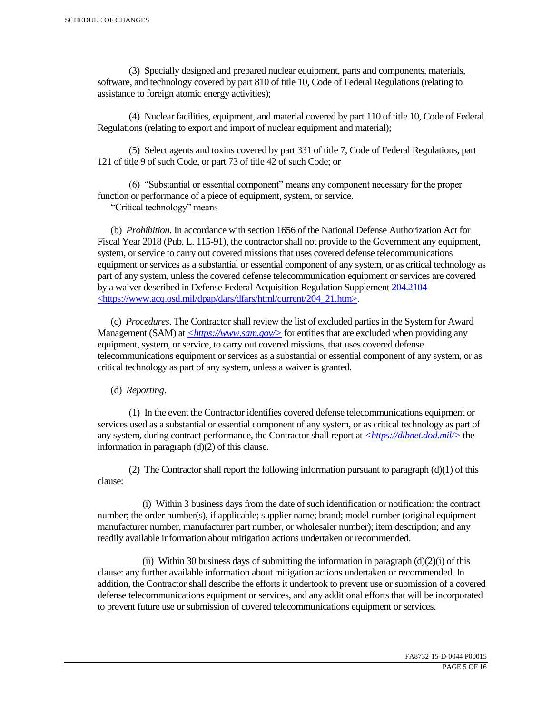(3) Specially designed and prepared nuclear equipment, parts and components, materials, software, and technology covered by part 810 of title 10, Code of Federal Regulations (relating to assistance to foreign atomic energy activities);

 (4) Nuclear facilities, equipment, and material covered by part 110 of title 10, Code of Federal Regulations (relating to export and import of nuclear equipment and material);

 (5) Select agents and toxins covered by part 331 of title 7, Code of Federal Regulations, part 121 of title 9 of such Code, or part 73 of title 42 of such Code; or

 (6) "Substantial or essential component" means any component necessary for the proper function or performance of a piece of equipment, system, or service.

"Critical technology" means-

 (b) *Prohibition*. In accordance with section 1656 of the National Defense Authorization Act for Fiscal Year 2018 (Pub. L. 115-91), the contractor shall not provide to the Government any equipment, system, or service to carry out covered missions that uses covered defense telecommunications equipment or services as a substantial or essential component of any system, or as critical technology as part of any system, unless the covered defense telecommunication equipment or services are covered by a waiver described in Defense Federal Acquisition Regulation Supplement 204.2104 <https://www.acq.osd.mil/dpap/dars/dfars/html/current/204\_21.htm>.

 (c) *Procedures*. The Contractor shall review the list of excluded parties in the System for Award Management (SAM) at  $\langle \frac{https://www.sam.gov/}{>}$  for entities that are excluded when providing any equipment, system, or service, to carry out covered missions, that uses covered defense telecommunications equipment or services as a substantial or essential component of any system, or as critical technology as part of any system, unless a waiver is granted.

(d) *Reporting*.

 (1) In the event the Contractor identifies covered defense telecommunications equipment or services used as a substantial or essential component of any system, or as critical technology as part of any system, during contract performance, the Contractor shall report at *<https://dibnet.dod.mil/>* the information in paragraph (d)(2) of this clause.

(2) The Contractor shall report the following information pursuant to paragraph  $(d)(1)$  of this clause:

 (i) Within 3 business days from the date of such identification or notification: the contract number; the order number(s), if applicable; supplier name; brand; model number (original equipment manufacturer number, manufacturer part number, or wholesaler number); item description; and any readily available information about mitigation actions undertaken or recommended.

(ii) Within 30 business days of submitting the information in paragraph  $(d)(2)(i)$  of this clause: any further available information about mitigation actions undertaken or recommended. In addition, the Contractor shall describe the efforts it undertook to prevent use or submission of a covered defense telecommunications equipment or services, and any additional efforts that will be incorporated to prevent future use or submission of covered telecommunications equipment or services.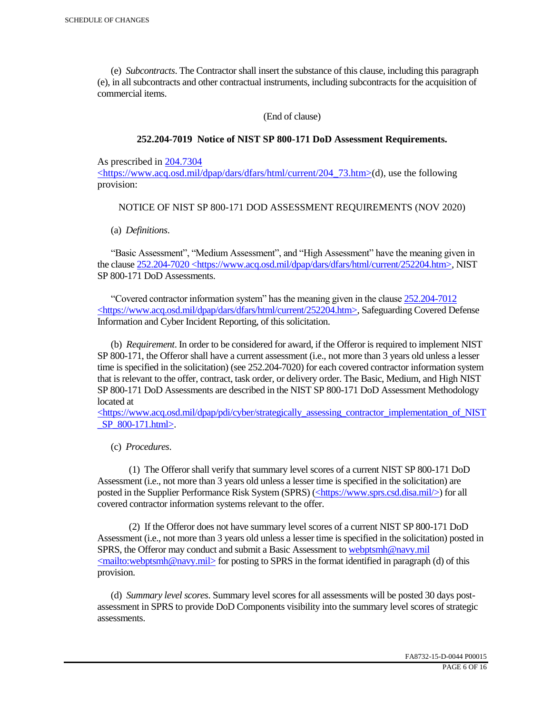(e) *Subcontracts*. The Contractor shall insert the substance of this clause, including this paragraph (e), in all subcontracts and other contractual instruments, including subcontracts for the acquisition of commercial items.

(End of clause)

## **252.204-7019 Notice of NIST SP 800-171 DoD Assessment Requirements.**

As prescribed in 204.7304

 $\langle$ https://www.acq.osd.mil/dpap/dars/dfars/html/current/204 73.htm>(d), use the following provision:

## NOTICE OF NIST SP 800-171 DOD ASSESSMENT REQUIREMENTS (NOV 2020)

(a) *Definitions*.

 "Basic Assessment", "Medium Assessment", and "High Assessment" have the meaning given in the clause 252.204-7020 <https://www.acq.osd.mil/dpap/dars/dfars/html/current/252204.htm>, NIST SP 800-171 DoD Assessments.

 "Covered contractor information system" has the meaning given in the clause 252.204-7012 <https://www.acq.osd.mil/dpap/dars/dfars/html/current/252204.htm>, Safeguarding Covered Defense Information and Cyber Incident Reporting, of this solicitation.

 (b) *Requirement*. In order to be considered for award, if the Offeror is required to implement NIST SP 800-171, the Offeror shall have a current assessment (i.e., not more than 3 years old unless a lesser time is specified in the solicitation) (see 252.204-7020) for each covered contractor information system that is relevant to the offer, contract, task order, or delivery order. The Basic, Medium, and High NIST SP 800-171 DoD Assessments are described in the NIST SP 800-171 DoD Assessment Methodology located at

 $\langle$ https://www.acq.osd.mil/dpap/pdi/cyber/strategically\_assessing\_contractor\_implementation\_of\_NIST \_SP\_800-171.html>.

(c) *Procedures*.

 (1) The Offeror shall verify that summary level scores of a current NIST SP 800-171 DoD Assessment (i.e., not more than 3 years old unless a lesser time is specified in the solicitation) are posted in the Supplier Performance Risk System (SPRS) (<https://www.sprs.csd.disa.mil/>) for all covered contractor information systems relevant to the offer.

 (2) If the Offeror does not have summary level scores of a current NIST SP 800-171 DoD Assessment (i.e., not more than 3 years old unless a lesser time is specified in the solicitation) posted in SPRS, the Offeror may conduct and submit a Basic Assessment to webptsmh@navy.mil  $\leq$ mailto:webptsmh@navy.mil> for posting to SPRS in the format identified in paragraph (d) of this provision.

 (d) *Summary level scores*. Summary level scores for all assessments will be posted 30 days postassessment in SPRS to provide DoD Components visibility into the summary level scores of strategic assessments.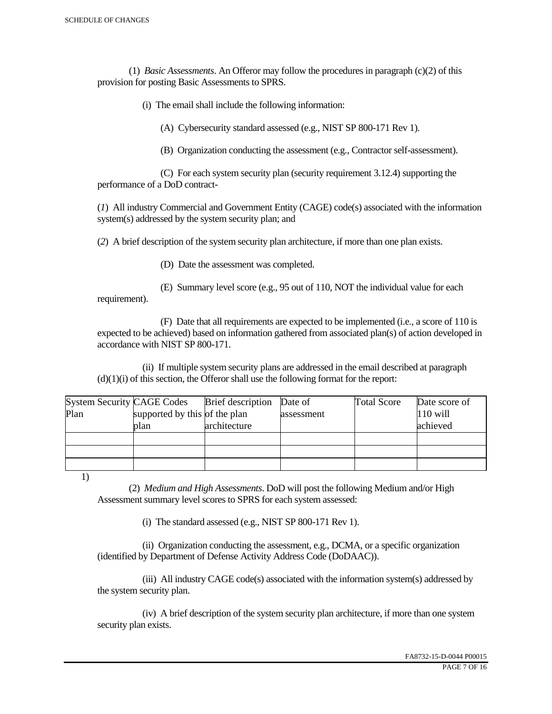(1) *Basic Assessments*. An Offeror may follow the procedures in paragraph (c)(2) of this provision for posting Basic Assessments to SPRS.

(i) The email shall include the following information:

(A) Cybersecurity standard assessed (e.g., NIST SP 800-171 Rev 1).

(B) Organization conducting the assessment (e.g., Contractor self-assessment).

 (C) For each system security plan (security requirement 3.12.4) supporting the performance of a DoD contract-

(*1*) All industry Commercial and Government Entity (CAGE) code(s) associated with the information system(s) addressed by the system security plan; and

(*2*) A brief description of the system security plan architecture, if more than one plan exists.

(D) Date the assessment was completed.

 (E) Summary level score (e.g., 95 out of 110, NOT the individual value for each requirement).

 (F) Date that all requirements are expected to be implemented (i.e., a score of 110 is expected to be achieved) based on information gathered from associated plan(s) of action developed in accordance with NIST SP 800-171.

 (ii) If multiple system security plans are addressed in the email described at paragraph  $(d)(1)(i)$  of this section, the Offeror shall use the following format for the report:

| <b>System Security CAGE Codes</b> |                               | <b>Brief</b> description | Date of    | <b>Total Score</b> | Date score of |
|-----------------------------------|-------------------------------|--------------------------|------------|--------------------|---------------|
| Plan                              | supported by this of the plan |                          | assessment |                    | $110$ will    |
|                                   | plan                          | architecture             |            |                    | achieved      |
|                                   |                               |                          |            |                    |               |
|                                   |                               |                          |            |                    |               |
|                                   |                               |                          |            |                    |               |

1)

 (2) *Medium and High Assessments*. DoD will post the following Medium and/or High Assessment summary level scores to SPRS for each system assessed:

(i) The standard assessed (e.g., NIST SP 800-171 Rev 1).

 (ii) Organization conducting the assessment, e.g., DCMA, or a specific organization (identified by Department of Defense Activity Address Code (DoDAAC)).

 (iii) All industry CAGE code(s) associated with the information system(s) addressed by the system security plan.

 (iv) A brief description of the system security plan architecture, if more than one system security plan exists.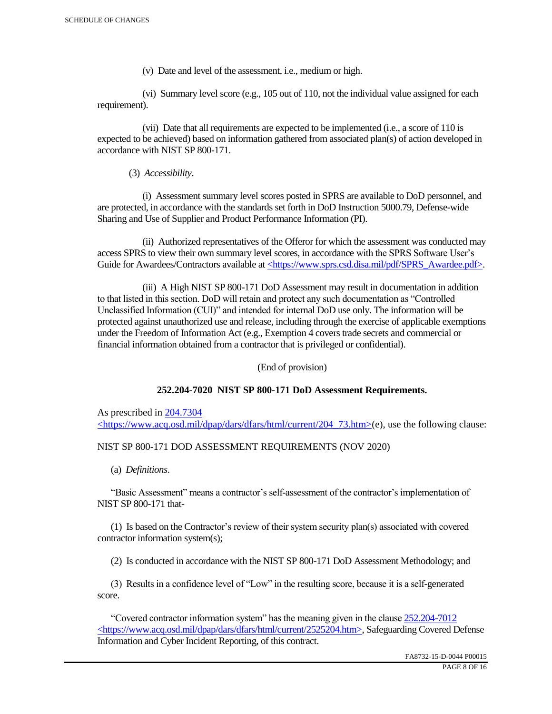(v) Date and level of the assessment, i.e., medium or high.

 (vi) Summary level score (e.g., 105 out of 110, not the individual value assigned for each requirement).

 (vii) Date that all requirements are expected to be implemented (i.e., a score of 110 is expected to be achieved) based on information gathered from associated plan(s) of action developed in accordance with NIST SP 800-171.

(3) *Accessibility*.

 (i) Assessment summary level scores posted in SPRS are available to DoD personnel, and are protected, in accordance with the standards set forth in DoD Instruction 5000.79, Defense-wide Sharing and Use of Supplier and Product Performance Information (PI).

 (ii) Authorized representatives of the Offeror for which the assessment was conducted may access SPRS to view their own summary level scores, in accordance with the SPRS Software User's Guide for Awardees/Contractors available at <https://www.sprs.csd.disa.mil/pdf/SPRS\_Awardee.pdf>.

 (iii) A High NIST SP 800-171 DoD Assessment may result in documentation in addition to that listed in this section. DoD will retain and protect any such documentation as "Controlled Unclassified Information (CUI)" and intended for internal DoD use only. The information will be protected against unauthorized use and release, including through the exercise of applicable exemptions under the Freedom of Information Act (e.g., Exemption 4 covers trade secrets and commercial or financial information obtained from a contractor that is privileged or confidential).

(End of provision)

## **252.204-7020 NIST SP 800-171 DoD Assessment Requirements.**

As prescribed in 204.7304 <https://www.acq.osd.mil/dpap/dars/dfars/html/current/204\_73.htm>(e), use the following clause:

## NIST SP 800-171 DOD ASSESSMENT REQUIREMENTS (NOV 2020)

(a) *Definitions*.

 "Basic Assessment" means a contractor's self-assessment of the contractor's implementation of NIST SP 800-171 that-

 (1) Is based on the Contractor's review of their system security plan(s) associated with covered contractor information system(s);

(2) Is conducted in accordance with the NIST SP 800-171 DoD Assessment Methodology; and

 (3) Results in a confidence level of "Low" in the resulting score, because it is a self-generated score.

 "Covered contractor information system" has the meaning given in the clause 252.204-7012 <https://www.acq.osd.mil/dpap/dars/dfars/html/current/2525204.htm>, Safeguarding Covered Defense Information and Cyber Incident Reporting, of this contract.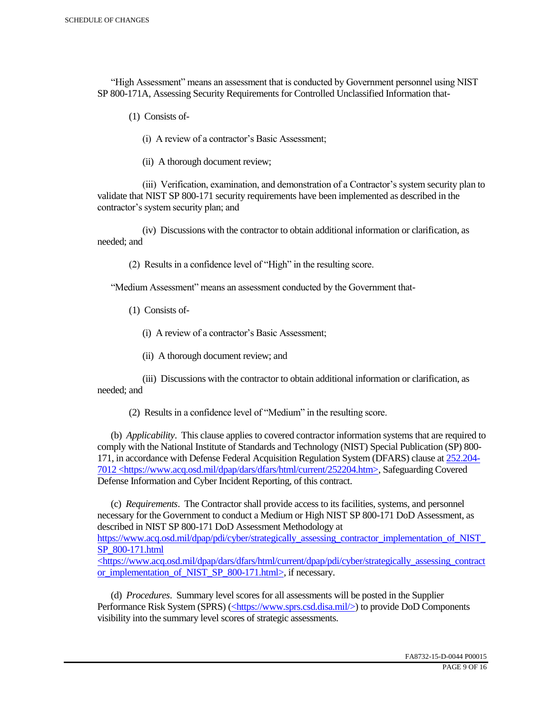"High Assessment" means an assessment that is conducted by Government personnel using NIST SP 800-171A, Assessing Security Requirements for Controlled Unclassified Information that-

(1) Consists of-

(i) A review of a contractor's Basic Assessment;

(ii) A thorough document review;

 (iii) Verification, examination, and demonstration of a Contractor's system security plan to validate that NIST SP 800-171 security requirements have been implemented as described in the contractor's system security plan; and

 (iv) Discussions with the contractor to obtain additional information or clarification, as needed; and

(2) Results in a confidence level of "High" in the resulting score.

"Medium Assessment" means an assessment conducted by the Government that-

(1) Consists of-

(i) A review of a contractor's Basic Assessment;

(ii) A thorough document review; and

 (iii) Discussions with the contractor to obtain additional information or clarification, as needed; and

(2) Results in a confidence level of "Medium" in the resulting score.

 (b) *Applicability*. This clause applies to covered contractor information systems that are required to comply with the National Institute of Standards and Technology (NIST) Special Publication (SP) 800- 171, in accordance with Defense Federal Acquisition Regulation System (DFARS) clause at 252.204- 7012 <https://www.acq.osd.mil/dpap/dars/dfars/html/current/252204.htm>, Safeguarding Covered Defense Information and Cyber Incident Reporting, of this contract.

 (c) *Requirements*. The Contractor shall provide access to its facilities, systems, and personnel necessary for the Government to conduct a Medium or High NIST SP 800-171 DoD Assessment, as described in NIST SP 800-171 DoD Assessment Methodology at https://www.acq.osd.mil/dpap/pdi/cyber/strategically\_assessing\_contractor\_implementation\_of\_NIST\_ SP\_800-171.html <https://www.acq.osd.mil/dpap/dars/dfars/html/current/dpap/pdi/cyber/strategically\_assessing\_contract

or implementation of NIST SP 800-171.html>, if necessary.

 (d) *Procedures*. Summary level scores for all assessments will be posted in the Supplier Performance Risk System (SPRS) (<https://www.sprs.csd.disa.mil/>) to provide DoD Components visibility into the summary level scores of strategic assessments.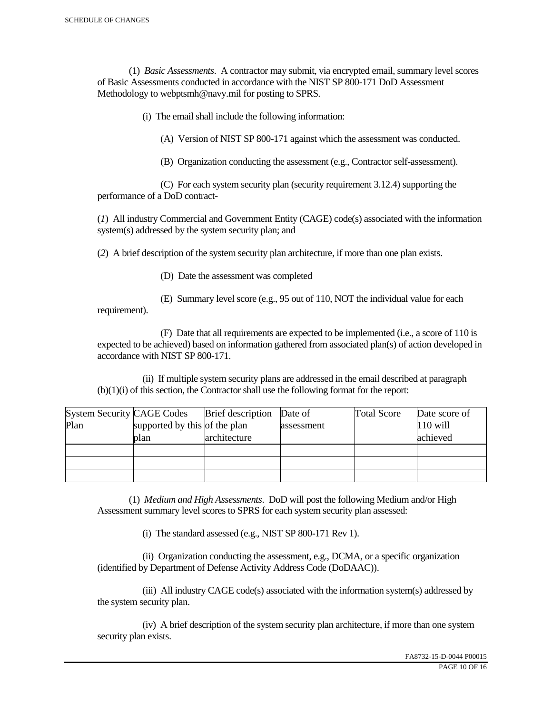(1) *Basic Assessments*. A contractor may submit, via encrypted email, summary level scores of Basic Assessments conducted in accordance with the NIST SP 800-171 DoD Assessment Methodology to webptsmh@navy.mil for posting to SPRS.

(i) The email shall include the following information:

(A) Version of NIST SP 800-171 against which the assessment was conducted.

(B) Organization conducting the assessment (e.g., Contractor self-assessment).

 (C) For each system security plan (security requirement 3.12.4) supporting the performance of a DoD contract-

(*1*) All industry Commercial and Government Entity (CAGE) code(s) associated with the information system(s) addressed by the system security plan; and

(*2*) A brief description of the system security plan architecture, if more than one plan exists.

(D) Date the assessment was completed

requirement).

(E) Summary level score (e.g., 95 out of 110, NOT the individual value for each

 (F) Date that all requirements are expected to be implemented (i.e., a score of 110 is expected to be achieved) based on information gathered from associated plan(s) of action developed in accordance with NIST SP 800-171.

 (ii) If multiple system security plans are addressed in the email described at paragraph (b)(1)(i) of this section, the Contractor shall use the following format for the report:

| <b>System Security CAGE Codes</b> |                               | <b>Brief</b> description | Date of    | <b>Total Score</b> | Date score of |
|-----------------------------------|-------------------------------|--------------------------|------------|--------------------|---------------|
| Plan                              | supported by this of the plan |                          | assessment |                    | $110$ will    |
|                                   | plan                          | architecture             |            |                    | achieved      |
|                                   |                               |                          |            |                    |               |
|                                   |                               |                          |            |                    |               |
|                                   |                               |                          |            |                    |               |

 (1) *Medium and High Assessments*. DoD will post the following Medium and/or High Assessment summary level scores to SPRS for each system security plan assessed:

(i) The standard assessed (e.g., NIST SP 800-171 Rev 1).

 (ii) Organization conducting the assessment, e.g., DCMA, or a specific organization (identified by Department of Defense Activity Address Code (DoDAAC)).

 (iii) All industry CAGE code(s) associated with the information system(s) addressed by the system security plan.

 (iv) A brief description of the system security plan architecture, if more than one system security plan exists.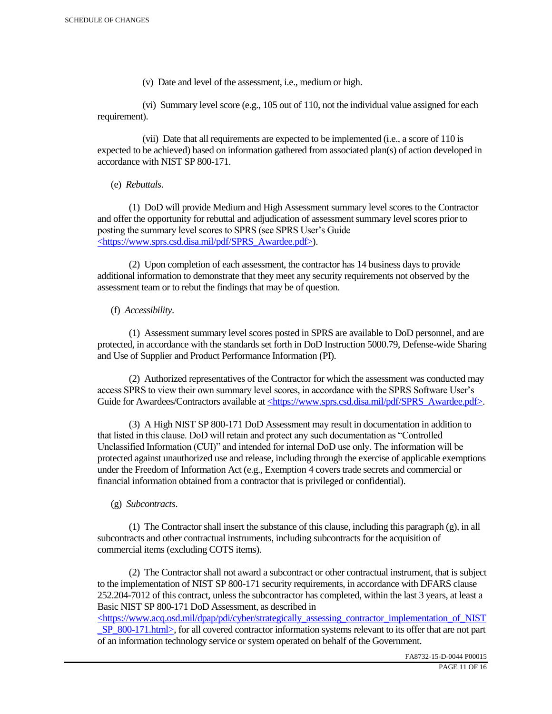(v) Date and level of the assessment, i.e., medium or high.

 (vi) Summary level score (e.g., 105 out of 110, not the individual value assigned for each requirement).

 (vii) Date that all requirements are expected to be implemented (i.e., a score of 110 is expected to be achieved) based on information gathered from associated plan(s) of action developed in accordance with NIST SP 800-171.

(e) *Rebuttals*.

 (1) DoD will provide Medium and High Assessment summary level scores to the Contractor and offer the opportunity for rebuttal and adjudication of assessment summary level scores prior to posting the summary level scores to SPRS (see SPRS User's Guide <https://www.sprs.csd.disa.mil/pdf/SPRS\_Awardee.pdf>).

 (2) Upon completion of each assessment, the contractor has 14 business days to provide additional information to demonstrate that they meet any security requirements not observed by the assessment team or to rebut the findings that may be of question.

## (f) *Accessibility*.

 (1) Assessment summary level scores posted in SPRS are available to DoD personnel, and are protected, in accordance with the standards set forth in DoD Instruction 5000.79, Defense-wide Sharing and Use of Supplier and Product Performance Information (PI).

 (2) Authorized representatives of the Contractor for which the assessment was conducted may access SPRS to view their own summary level scores, in accordance with the SPRS Software User's Guide for Awardees/Contractors available at <https://www.sprs.csd.disa.mil/pdf/SPRS\_Awardee.pdf>.

 (3) A High NIST SP 800-171 DoD Assessment may result in documentation in addition to that listed in this clause. DoD will retain and protect any such documentation as "Controlled Unclassified Information (CUI)" and intended for internal DoD use only. The information will be protected against unauthorized use and release, including through the exercise of applicable exemptions under the Freedom of Information Act (e.g., Exemption 4 covers trade secrets and commercial or financial information obtained from a contractor that is privileged or confidential).

## (g) *Subcontracts*.

(1) The Contractor shall insert the substance of this clause, including this paragraph  $(g)$ , in all subcontracts and other contractual instruments, including subcontracts for the acquisition of commercial items (excluding COTS items).

 (2) The Contractor shall not award a subcontract or other contractual instrument, that is subject to the implementation of NIST SP 800-171 security requirements, in accordance with DFARS clause 252.204-7012 of this contract, unless the subcontractor has completed, within the last 3 years, at least a Basic NIST SP 800-171 DoD Assessment, as described in

 $\langle$ https://www.acq.osd.mil/dpap/pdi/cyber/strategically\_assessing\_contractor\_implementation\_of\_NIST SP\_800-171.html>, for all covered contractor information systems relevant to its offer that are not part of an information technology service or system operated on behalf of the Government.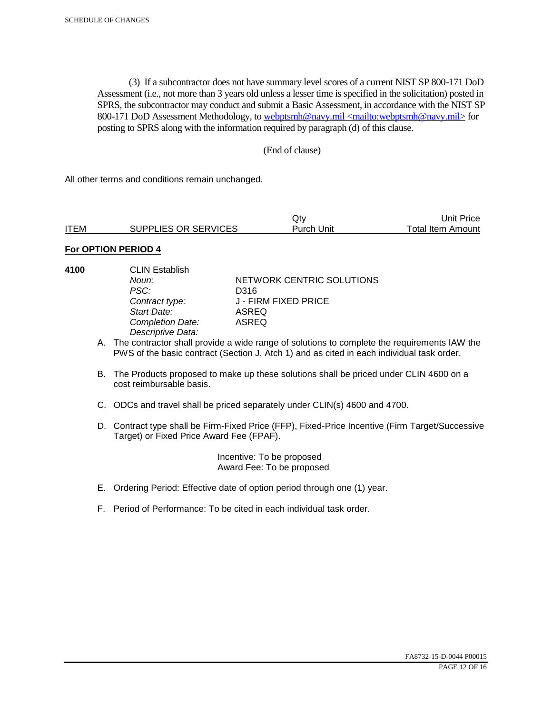(3) If a subcontractor does not have summary level scores of a current NIST SP 800-171 DoD Assessment (i.e., not more than 3 years old unless a lesser time is specified in the solicitation) posted in SPRS, the subcontractor may conduct and submit a Basic Assessment, in accordance with the NIST SP 800-171 DoD Assessment Methodology, to webptsmh@navy.mil <mailto:webptsmh@navy.mil> for posting to SPRS along with the information required by paragraph (d) of this clause.

## (End of clause)

All other terms and conditions remain unchanged.

|             |                             | Qt∨        | Unit Price l      |
|-------------|-----------------------------|------------|-------------------|
| <b>ITEM</b> | <b>SUPPLIES OR SERVICES</b> | Purch Unit | Total Item Amount |

## **For OPTION PERIOD 4**

- 
- **4100** CLIN Establish PSC: D316<br>Contract type: J - FII *Start Date:* ASREQ *Completion Date: Descriptive Data:*

**Noun: NETWORK CENTRIC SOLUTIONS** *Contract type:* J - FIRM FIXED PRICE

- A. The contractor shall provide a wide range of solutions to complete the requirements IAW the PWS of the basic contract (Section J, Atch 1) and as cited in each individual task order.
- B. The Products proposed to make up these solutions shall be priced under CLIN 4600 on a cost reimbursable basis.
- C. ODCs and travel shall be priced separately under CLIN(s) 4600 and 4700.
- D. Contract type shall be Firm-Fixed Price (FFP), Fixed-Price Incentive (Firm Target/Successive Target) or Fixed Price Award Fee (FPAF).

 Incentive: To be proposed Award Fee: To be proposed

- E. Ordering Period: Effective date of option period through one (1) year.
- F. Period of Performance: To be cited in each individual task order.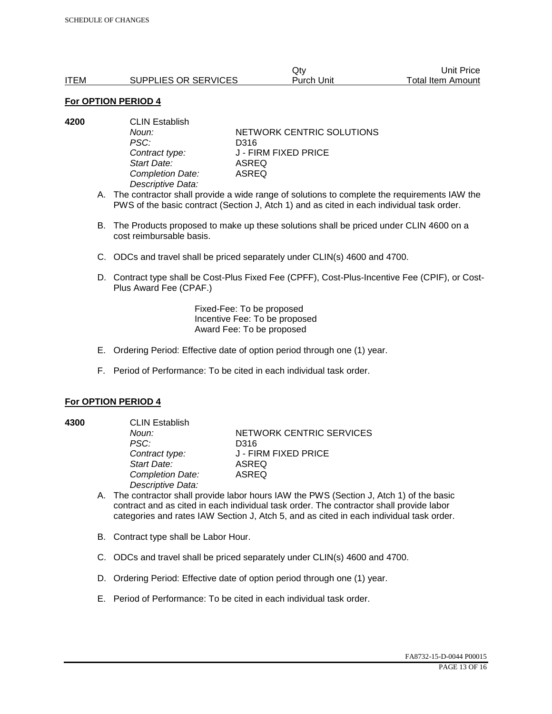|             |                      | Qtv        | Unit Price        |
|-------------|----------------------|------------|-------------------|
| <b>ITEM</b> | SUPPLIES OR SERVICES | Purch Unit | Total Item Amount |

#### **For OPTION PERIOD 4**

| <b>CLIN Establish</b> |                                    |  |
|-----------------------|------------------------------------|--|
| Noun:                 | NETWORK CENTRIC SOLUTIONS          |  |
| PSC:                  | D316                               |  |
|                       | J - FIRM FIXED PRICE               |  |
| Start Date:           | ASREQ                              |  |
|                       | ASREQ                              |  |
| Descriptive Data:     |                                    |  |
|                       | Contract type:<br>Completion Date: |  |

A. The contractor shall provide a wide range of solutions to complete the requirements IAW the PWS of the basic contract (Section J, Atch 1) and as cited in each individual task order.

- B. The Products proposed to make up these solutions shall be priced under CLIN 4600 on a cost reimbursable basis.
- C. ODCs and travel shall be priced separately under CLIN(s) 4600 and 4700.
- D. Contract type shall be Cost-Plus Fixed Fee (CPFF), Cost-Plus-Incentive Fee (CPIF), or Cost-Plus Award Fee (CPAF.)

Fixed-Fee: To be proposed Incentive Fee: To be proposed Award Fee: To be proposed

- E. Ordering Period: Effective date of option period through one (1) year.
- F. Period of Performance: To be cited in each individual task order.

#### **For OPTION PERIOD 4**

**4300** CLIN Establish *PSC:* D316 *Start Date:* ASREQ *Completion Date:* ASREQ *Descriptive Data:* 

**Noun: NETWORK CENTRIC SERVICES** *Contract type:* J - FIRM FIXED PRICE

- A. The contractor shall provide labor hours IAW the PWS (Section J, Atch 1) of the basic contract and as cited in each individual task order. The contractor shall provide labor categories and rates IAW Section J, Atch 5, and as cited in each individual task order.
- B. Contract type shall be Labor Hour.
- C. ODCs and travel shall be priced separately under CLIN(s) 4600 and 4700.
- D. Ordering Period: Effective date of option period through one (1) year.
- E. Period of Performance: To be cited in each individual task order.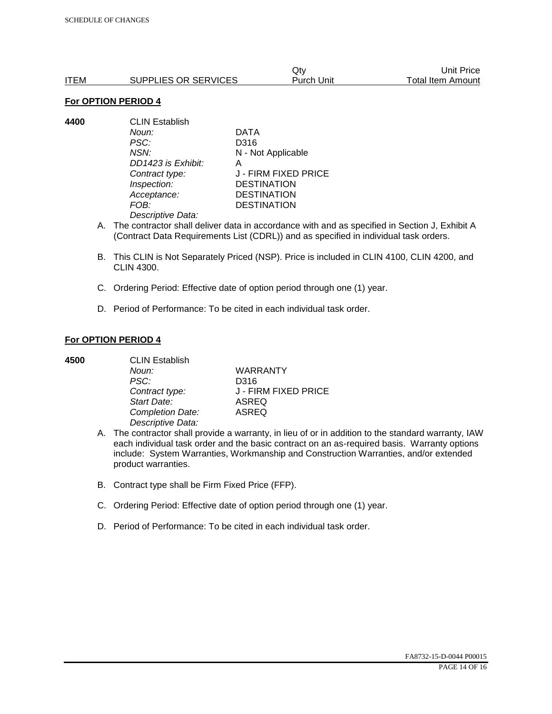|      |                      | Qtv        | Unit Price        |
|------|----------------------|------------|-------------------|
| ITEM | SUPPLIES OR SERVICES | Purch Unit | Total Item Amount |

#### **For OPTION PERIOD 4**

**4400** CLIN Establish *Noun:* DATA *PSC:* D316 *NSN:* N - Not Applicable *DD1423 is Exhibit:* A *Contract type:* J - FIRM FIXED PRICE *Inspection:* DESTINATION *Acceptance:* DESTINATION *FOB:* DESTINATION *Descriptive Data:* 

- A. The contractor shall deliver data in accordance with and as specified in Section J, Exhibit A (Contract Data Requirements List (CDRL)) and as specified in individual task orders.
- B. This CLIN is Not Separately Priced (NSP). Price is included in CLIN 4100, CLIN 4200, and CLIN 4300.
- C. Ordering Period: Effective date of option period through one (1) year.
- D. Period of Performance: To be cited in each individual task order.

## **For OPTION PERIOD 4**

| 4500 | <b>CLIN Establish</b> |                      |  |
|------|-----------------------|----------------------|--|
|      | Noun:                 | <b>WARRANTY</b>      |  |
|      | PSC:                  | D316                 |  |
|      | Contract type:        | J - FIRM FIXED PRICE |  |
|      | Start Date:           | <b>ASREQ</b>         |  |
|      | Completion Date:      | <b>ASREQ</b>         |  |
|      | Descriptive Data:     |                      |  |

- A. The contractor shall provide a warranty, in lieu of or in addition to the standard warranty, IAW each individual task order and the basic contract on an as-required basis. Warranty options include: System Warranties, Workmanship and Construction Warranties, and/or extended product warranties.
- B. Contract type shall be Firm Fixed Price (FFP).
- C. Ordering Period: Effective date of option period through one (1) year.
- D. Period of Performance: To be cited in each individual task order.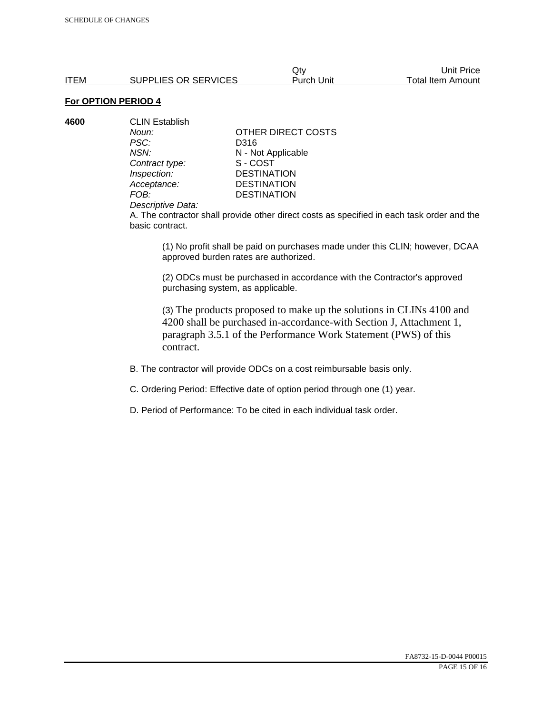Qty Unit Price ITEM SUPPLIES OR SERVICES Purch Unit Total Item Amount

# **For OPTION PERIOD 4**

| 4600 | <b>CLIN Establish</b> |                    |  |
|------|-----------------------|--------------------|--|
|      | Noun:                 | OTHER DIRECT COSTS |  |
|      | PSC:                  | D316               |  |
|      | NSN:                  | N - Not Applicable |  |
|      | Contract type:        | S-COST             |  |
|      | Inspection:           | <b>DESTINATION</b> |  |
|      | Acceptance:           | <b>DESTINATION</b> |  |
|      | FOB:                  | <b>DESTINATION</b> |  |
|      |                       |                    |  |

#### *Descriptive Data:*

A. The contractor shall provide other direct costs as specified in each task order and the basic contract.

(1) No profit shall be paid on purchases made under this CLIN; however, DCAA approved burden rates are authorized.

(2) ODCs must be purchased in accordance with the Contractor's approved purchasing system, as applicable.

(3) The products proposed to make up the solutions in CLINs 4100 and 4200 shall be purchased in-accordance-with Section J, Attachment 1, paragraph 3.5.1 of the Performance Work Statement (PWS) of this contract.

B. The contractor will provide ODCs on a cost reimbursable basis only.

C. Ordering Period: Effective date of option period through one (1) year.

D. Period of Performance: To be cited in each individual task order.